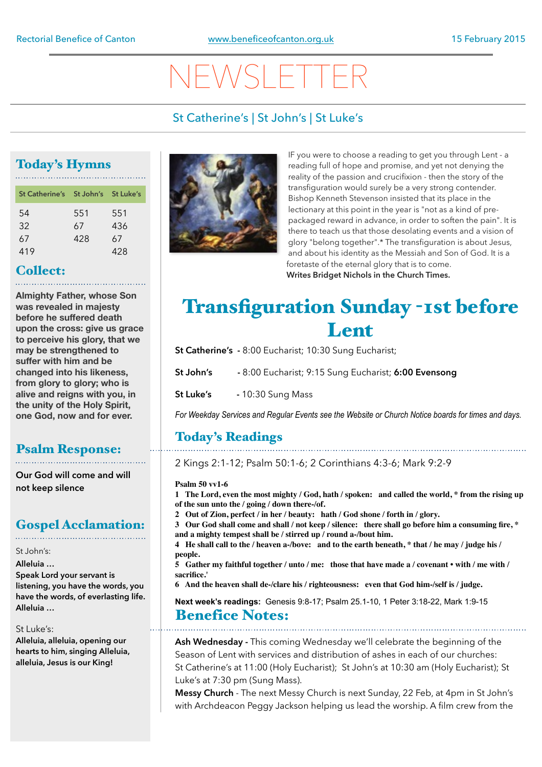# NEWSLETTER

## St Catherine's | St John's | St Luke's

## Today's Hymns

| St Catherine's St John's St Luke's |     |     |
|------------------------------------|-----|-----|
| 54                                 | 551 | 551 |
| 32                                 | 67  | 436 |
| 67                                 | 428 | 67  |
| 419                                |     | 428 |

## Collect:

**Almighty Father, whose Son was revealed in majesty before he suffered death upon the cross: give us grace to perceive his glory, that we may be strengthened to suffer with him and be changed into his likeness, from glory to glory; who is alive and reigns with you, in the unity of the Holy Spirit, one God, now and for ever.** 

## Psalm Response:

**Our God will come and will not keep silence**

## Gospel Acclamation:

St John's:

**Alleluia … Speak Lord your servant is listening, you have the words, you have the words, of everlasting life. Alleluia …**

#### St Luke's:

**Alleluia, alleluia, opening our hearts to him, singing Alleluia, alleluia, Jesus is our King!**



IF you were to choose a reading to get you through Lent - a reading full of hope and promise, and yet not denying the reality of the passion and crucifixion - then the story of the transfiguration would surely be a very strong contender. Bishop Kenneth Stevenson insisted that its place in the lectionary at this point in the year is "not as a kind of prepackaged reward in advance, in order to soften the pain". It is there to teach us that those desolating events and a vision of glory "belong together".\* The transfiguration is about Jesus, and about his identity as the Messiah and Son of God. It is a foretaste of the eternal glory that is to come. **Writes Bridget Nichols in the Church Times.**

## **Transfiguration Sunday -1st before** Lent

**St Catherine's -** 8:00 Eucharist; 10:30 Sung Eucharist;

**St John's -** 8:00 Eucharist; 9:15 Sung Eucharist; **6:00 Evensong** 

**St Luke's -** 10:30 Sung Mass

*For Weekday Services and Regular Events see the Website or Church Notice boards for times and days.*

## Today's Readings

2 Kings 2:1-12; Psalm 50:1-6; 2 Corinthians 4:3-6; Mark 9:2-9

#### **Psalm 50 vv1-6**

**1 The Lord, even the most mighty / God, hath / spoken: and called the world, \* from the rising up of the sun unto the / going / down there-/of.**

**2 Out of Zion, perfect / in her / beauty: hath / God shone / forth in / glory.**

**3 Our God shall come and shall / not keep / silence: there shall go before him a consuming fire, \* and a mighty tempest shall be / stirred up / round a-/bout him.**

**4 He shall call to the / heaven a-/bove: and to the earth beneath, \* that / he may / judge his / people.**

**5 Gather my faithful together / unto / me: those that have made a / covenant • with / me with / sacrifice.'**

**6 And the heaven shall de-/clare his / righteousness: even that God him-/self is / judge.**

**Next week's readings:** Genesis 9:8-17; Psalm 25.1-10, 1 Peter 3:18-22, Mark 1:9-15

## Benefice Notes:

**Ash Wednesday -** This coming Wednesday we'll celebrate the beginning of the Season of Lent with services and distribution of ashes in each of our churches: St Catherine's at 11:00 (Holy Eucharist); St John's at 10:30 am (Holy Eucharist); St Luke's at 7:30 pm (Sung Mass).

**Messy Church** - The next Messy Church is next Sunday, 22 Feb, at 4pm in St John's with Archdeacon Peggy Jackson helping us lead the worship. A film crew from the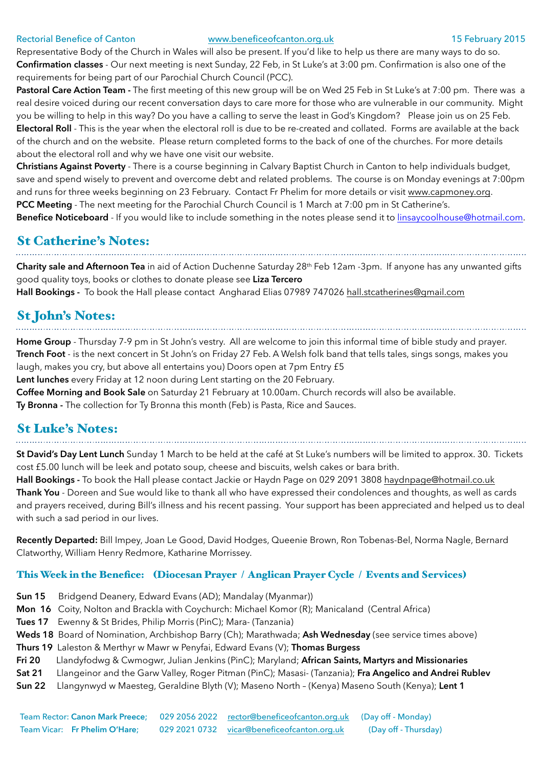Rectorial Benefice of Canton [www.beneficeofcanton.org.uk](http://www.beneficeofcanton.org.uk) 15 February 2015

Representative Body of the Church in Wales will also be present. If you'd like to help us there are many ways to do so. **Confirmation classes** - Our next meeting is next Sunday, 22 Feb, in St Luke's at 3:00 pm. Confirmation is also one of the requirements for being part of our Parochial Church Council (PCC).

**Pastoral Care Action Team -** The first meeting of this new group will be on Wed 25 Feb in St Luke's at 7:00 pm. There was a real desire voiced during our recent conversation days to care more for those who are vulnerable in our community. Might you be willing to help in this way? Do you have a calling to serve the least in God's Kingdom? Please join us on 25 Feb. **Electoral Roll** - This is the year when the electoral roll is due to be re-created and collated. Forms are available at the back of the church and on the website. Please return completed forms to the back of one of the churches. For more details about the electoral roll and why we have one visit our website.

**Christians Against Poverty** - There is a course beginning in Calvary Baptist Church in Canton to help individuals budget, save and spend wisely to prevent and overcome debt and related problems. The course is on Monday evenings at 7:00pm and runs for three weeks beginning on 23 February. Contact Fr Phelim for more details or visit [www.capmoney.org.](http://www.capmoney.org) **PCC Meeting** - The next meeting for the Parochial Church Council is 1 March at 7:00 pm in St Catherine's. **Benefice Noticeboard** - If you would like to include something in the notes please send it to [linsaycoolhouse@hotmail.com](mailto:linsaycoolhouse@hotmail.com).

## St Catherine's Notes:

**Charity sale and Afternoon Tea** in aid of Action Duchenne Saturday 28th Feb 12am -3pm. If anyone has any unwanted gifts good quality toys, books or clothes to donate please see **Liza Tercero Hall Bookings -** To book the Hall please contact Angharad Elias 07989 747026 [hall.stcatherines@gmail.com](mailto:hall.stcatherines@gmail.com)

## St John's Notes:

**Home Group** - Thursday 7-9 pm in St John's vestry. All are welcome to join this informal time of bible study and prayer. **Trench Foot** - is the next concert in St John's on Friday 27 Feb. A Welsh folk band that tells tales, sings songs, makes you laugh, makes you cry, but above all entertains you) Doors open at 7pm Entry £5 **Lent lunches** every Friday at 12 noon during Lent starting on the 20 February. **Coffee Morning and Book Sale** on Saturday 21 February at 10.00am. Church records will also be available. **Ty Bronna -** The collection for Ty Bronna this month (Feb) is Pasta, Rice and Sauces.

## St Luke's Notes:

**St David's Day Lent Lunch** Sunday 1 March to be held at the café at St Luke's numbers will be limited to approx. 30. Tickets cost £5.00 lunch will be leek and potato soup, cheese and biscuits, welsh cakes or bara brith.

**Hall Bookings -** To book the Hall please contact Jackie or Haydn Page on 029 2091 3808 [haydnpage@hotmail.co.uk](mailto:haydnpage@hotmail.co.uk) **Thank You** - Doreen and Sue would like to thank all who have expressed their condolences and thoughts, as well as cards and prayers received, during Bill's illness and his recent passing. Your support has been appreciated and helped us to deal with such a sad period in our lives.

**Recently Departed:** Bill Impey, Joan Le Good, David Hodges, Queenie Brown, Ron Tobenas-Bel, Norma Nagle, Bernard Clatworthy, William Henry Redmore, Katharine Morrissey.

#### This Week in the Benefice: (Diocesan Prayer / Anglican Prayer Cycle / Events and Services)

- **Sun 15** Bridgend Deanery, Edward Evans (AD); Mandalay (Myanmar))
- **Mon 16** Coity, Nolton and Brackla with Coychurch: Michael Komor (R); Manicaland (Central Africa)
- **Tues 17** Ewenny & St Brides, Philip Morris (PinC); Mara- (Tanzania)
- **Weds 18** Board of Nomination, Archbishop Barry (Ch); Marathwada; **Ash Wednesday** (see service times above)
- **Thurs 19** Laleston & Merthyr w Mawr w Penyfai, Edward Evans (V); **Thomas Burgess**
- **Fri 20** Llandyfodwg & Cwmogwr, Julian Jenkins (PinC); Maryland; **African Saints, Martyrs and Missionaries**
- **Sat 21** Llangeinor and the Garw Valley, Roger Pitman (PinC); Masasi- (Tanzania); **Fra Angelico and Andrei Rublev**
- **Sun 22** Llangynwyd w Maesteg, Geraldine Blyth (V); Maseno North (Kenya) Maseno South (Kenya); **Lent 1**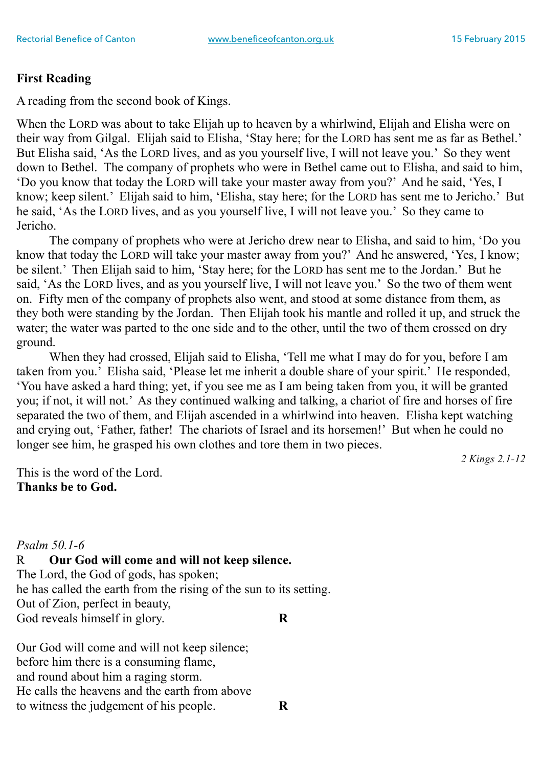### **First Reading**

A reading from the second book of Kings.

When the LORD was about to take Elijah up to heaven by a whirlwind, Elijah and Elisha were on their way from Gilgal. Elijah said to Elisha, 'Stay here; for the LORD has sent me as far as Bethel.' But Elisha said, 'As the LORD lives, and as you yourself live, I will not leave you.' So they went down to Bethel. The company of prophets who were in Bethel came out to Elisha, and said to him, 'Do you know that today the LORD will take your master away from you?' And he said, 'Yes, I know; keep silent.' Elijah said to him, 'Elisha, stay here; for the LORD has sent me to Jericho.' But he said, 'As the LORD lives, and as you yourself live, I will not leave you.' So they came to Jericho.

The company of prophets who were at Jericho drew near to Elisha, and said to him, 'Do you know that today the LORD will take your master away from you?' And he answered, 'Yes, I know; be silent.' Then Elijah said to him, 'Stay here; for the LORD has sent me to the Jordan.' But he said, 'As the LORD lives, and as you yourself live, I will not leave you.' So the two of them went on. Fifty men of the company of prophets also went, and stood at some distance from them, as they both were standing by the Jordan. Then Elijah took his mantle and rolled it up, and struck the water; the water was parted to the one side and to the other, until the two of them crossed on dry ground.

When they had crossed, Elijah said to Elisha, 'Tell me what I may do for you, before I am taken from you.' Elisha said, 'Please let me inherit a double share of your spirit.' He responded, 'You have asked a hard thing; yet, if you see me as I am being taken from you, it will be granted you; if not, it will not.' As they continued walking and talking, a chariot of fire and horses of fire separated the two of them, and Elijah ascended in a whirlwind into heaven. Elisha kept watching and crying out, 'Father, father! The chariots of Israel and its horsemen!' But when he could no longer see him, he grasped his own clothes and tore them in two pieces.

*2 Kings 2.1-12*

This is the word of the Lord. **Thanks be to God.**

### *Psalm 50.1-6*

R **Our God will come and will not keep silence.**

The Lord, the God of gods, has spoken; he has called the earth from the rising of the sun to its setting. Out of Zion, perfect in beauty, God reveals himself in glory. **R**

Our God will come and will not keep silence; before him there is a consuming flame, and round about him a raging storm. He calls the heavens and the earth from above to witness the judgement of his people. **R**